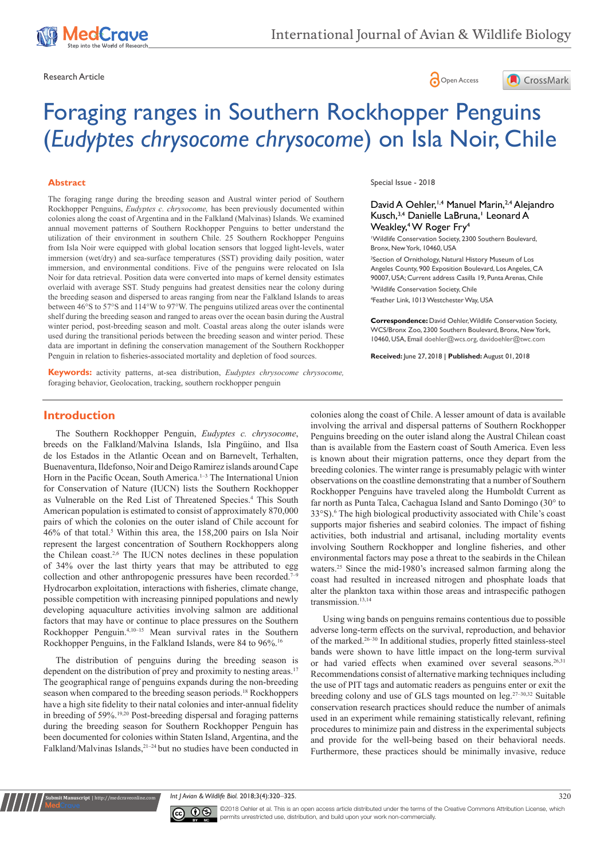





# Foraging ranges in Southern Rockhopper Penguins (*Eudyptes chrysocome chrysocome*) on Isla Noir, Chile

#### **Abstract**

The foraging range during the breeding season and Austral winter period of Southern Rockhopper Penguins, *Eudyptes c. chrysocome,* has been previously documented within colonies along the coast of Argentina and in the Falkland (Malvinas) Islands. We examined annual movement patterns of Southern Rockhopper Penguins to better understand the utilization of their environment in southern Chile. 25 Southern Rockhopper Penguins from Isla Noir were equipped with global location sensors that logged light-levels, water immersion (wet/dry) and sea-surface temperatures (SST) providing daily position, water immersion, and environmental conditions. Five of the penguins were relocated on Isla Noir for data retrieval. Position data were converted into maps of kernel density estimates overlaid with average SST. Study penguins had greatest densities near the colony during the breeding season and dispersed to areas ranging from near the Falkland Islands to areas between 46°S to 57°S and 114°W to 97°W. The penguins utilized areas over the continental shelf during the breeding season and ranged to areas over the ocean basin during the Austral winter period, post-breeding season and molt. Coastal areas along the outer islands were used during the transitional periods between the breeding season and winter period. These data are important in defining the conservation management of the Southern Rockhopper Penguin in relation to fisheries-associated mortality and depletion of food sources.

**Keywords:** activity patterns, at-sea distribution, *Eudyptes chrysocome chrysocome,* foraging behavior, Geolocation, tracking, southern rockhopper penguin

Special Issue - 2018

## David A Oehler,<sup>1,4</sup> Manuel Marin,<sup>2,4</sup> Alejandro Kusch, 3,4 Danielle LaBruna, 1 Leonard A Weakley,4 W Roger Fry4

1 Wildlife Conservation Society, 2300 Southern Boulevard, Bronx, New York, 10460, USA

2 Section of Ornithology, Natural History Museum of Los Angeles County, 900 Exposition Boulevard, Los Angeles, CA 90007, USA; Current address Casilla 19, Punta Arenas, Chile

3 Wildlife Conservation Society, Chile 4 Feather Link, 1013 Westchester Way, USA

**Correspondence:** David Oehler, Wildlife Conservation Society, WCS/Bronx Zoo, 2300 Southern Boulevard, Bronx, New York, 10460, USA, Email doehler@wcs.org, davidoehler@twc.com

**Received:** June 27, 2018 | **Published:** August 01, 2018

# **Introduction**

The Southern Rockhopper Penguin, *Eudyptes c. chrysocome*, breeds on the Falkland/Malvina Islands, Isla Pingüino, and Ilsa de los Estados in the Atlantic Ocean and on Barnevelt, Terhalten, Buenaventura, Ildefonso, Noir and Deigo Ramirez islands around Cape Horn in the Pacific Ocean, South America.<sup>1-3</sup> The International Union for Conservation of Nature (IUCN) lists the Southern Rockhopper as Vulnerable on the Red List of Threatened Species.<sup>4</sup> This South American population is estimated to consist of approximately 870,000 pairs of which the colonies on the outer island of Chile account for 46% of that total.<sup>5</sup> Within this area, the 158,200 pairs on Isla Noir represent the largest concentration of Southern Rockhoppers along the Chilean coast.2,6 The IUCN notes declines in these population of 34% over the last thirty years that may be attributed to egg collection and other anthropogenic pressures have been recorded.<sup>7-9</sup> Hydrocarbon exploitation, interactions with fisheries, climate change, possible competition with increasing pinniped populations and newly developing aquaculture activities involving salmon are additional factors that may have or continue to place pressures on the Southern Rockhopper Penguin.4,10‒15 Mean survival rates in the Southern Rockhopper Penguins, in the Falkland Islands, were 84 to 96%.<sup>16</sup>

The distribution of penguins during the breeding season is dependent on the distribution of prey and proximity to nesting areas.<sup>17</sup> The geographical range of penguins expands during the non-breeding season when compared to the breeding season periods.<sup>18</sup> Rockhoppers have a high site fidelity to their natal colonies and inter-annual fidelity in breeding of 59%.19,20 Post-breeding dispersal and foraging patterns during the breeding season for Southern Rockhopper Penguin has been documented for colonies within Staten Island, Argentina, and the Falkland/Malvinas Islands,<sup>21-24</sup> but no studies have been conducted in

colonies along the coast of Chile. A lesser amount of data is available involving the arrival and dispersal patterns of Southern Rockhopper Penguins breeding on the outer island along the Austral Chilean coast than is available from the Eastern coast of South America. Even less is known about their migration patterns, once they depart from the breeding colonies. The winter range is presumably pelagic with winter observations on the coastline demonstrating that a number of Southern Rockhopper Penguins have traveled along the Humboldt Current as far north as Punta Talca, Cachagua Island and Santo Domingo (30° to 33°S).<sup>6</sup> The high biological productivity associated with Chile's coast supports major fisheries and seabird colonies. The impact of fishing activities, both industrial and artisanal, including mortality events involving Southern Rockhopper and longline fisheries, and other environmental factors may pose a threat to the seabirds in the Chilean waters.<sup>25</sup> Since the mid-1980's increased salmon farming along the coast had resulted in increased nitrogen and phosphate loads that alter the plankton taxa within those areas and intraspecific pathogen transmission.<sup>13,14</sup>

Using wing bands on penguins remains contentious due to possible adverse long-term effects on the survival, reproduction, and behavior of the marked.<sup>26–30</sup> In additional studies, properly fitted stainless-steel bands were shown to have little impact on the long-term survival or had varied effects when examined over several seasons.<sup>26,31</sup> Recommendations consist of alternative marking techniques including the use of PIT tags and automatic readers as penguins enter or exit the breeding colony and use of GLS tags mounted on  $leg.^{27-30,32}$  Suitable conservation research practices should reduce the number of animals used in an experiment while remaining statistically relevant, refining procedures to minimize pain and distress in the experimental subjects and provide for the well-being based on their behavioral needs. Furthermore, these practices should be minimally invasive, reduce

*Int J Avian & Wildlife Biol.* 2018;3(4):320‒325. 320



**nit Manuscript** | http://medcraveonline.

©2018 Oehler et al. This is an open access article distributed under the terms of the [Creative Commons Attribution License,](https://creativecommons.org/licenses/by-nc/4.0/) which permits unrestricted use, distribution, and build upon your work non-commercially.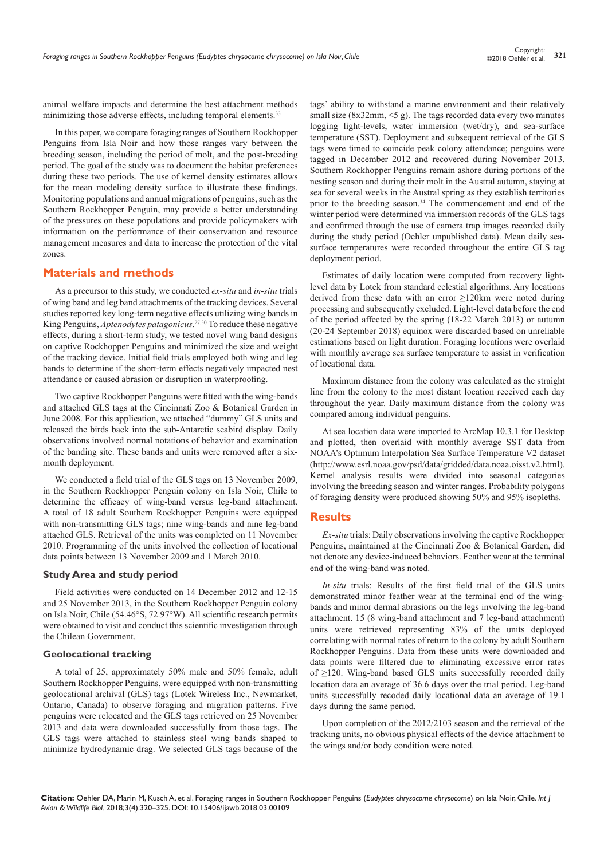animal welfare impacts and determine the best attachment methods minimizing those adverse effects, including temporal elements.<sup>33</sup>

In this paper, we compare foraging ranges of Southern Rockhopper Penguins from Isla Noir and how those ranges vary between the breeding season, including the period of molt, and the post-breeding period. The goal of the study was to document the habitat preferences during these two periods. The use of kernel density estimates allows for the mean modeling density surface to illustrate these findings. Monitoring populations and annual migrations of penguins, such as the Southern Rockhopper Penguin, may provide a better understanding of the pressures on these populations and provide policymakers with information on the performance of their conservation and resource management measures and data to increase the protection of the vital zones.

## **Materials and methods**

As a precursor to this study, we conducted *ex-situ* and *in-situ* trials of wing band and leg band attachments of the tracking devices. Several studies reported key long-term negative effects utilizing wing bands in King Penguins, *Aptenodytes patagonicus*. 27,30 To reduce these negative effects, during a short-term study, we tested novel wing band designs on captive Rockhopper Penguins and minimized the size and weight of the tracking device. Initial field trials employed both wing and leg bands to determine if the short-term effects negatively impacted nest attendance or caused abrasion or disruption in waterproofing.

Two captive Rockhopper Penguins were fitted with the wing-bands and attached GLS tags at the Cincinnati Zoo & Botanical Garden in June 2008. For this application, we attached "dummy" GLS units and released the birds back into the sub-Antarctic seabird display. Daily observations involved normal notations of behavior and examination of the banding site. These bands and units were removed after a sixmonth deployment.

We conducted a field trial of the GLS tags on 13 November 2009, in the Southern Rockhopper Penguin colony on Isla Noir, Chile to determine the efficacy of wing-band versus leg-band attachment. A total of 18 adult Southern Rockhopper Penguins were equipped with non-transmitting GLS tags; nine wing-bands and nine leg-band attached GLS. Retrieval of the units was completed on 11 November 2010. Programming of the units involved the collection of locational data points between 13 November 2009 and 1 March 2010.

### **Study Area and study period**

Field activities were conducted on 14 December 2012 and 12-15 and 25 November 2013, in the Southern Rockhopper Penguin colony on Isla Noir, Chile (54.46°S, 72.97°W). All scientific research permits were obtained to visit and conduct this scientific investigation through the Chilean Government.

#### **Geolocational tracking**

A total of 25, approximately 50% male and 50% female, adult Southern Rockhopper Penguins, were equipped with non-transmitting geolocational archival (GLS) tags (Lotek Wireless Inc., Newmarket, Ontario, Canada) to observe foraging and migration patterns. Five penguins were relocated and the GLS tags retrieved on 25 November 2013 and data were downloaded successfully from those tags. The GLS tags were attached to stainless steel wing bands shaped to minimize hydrodynamic drag. We selected GLS tags because of the

tags' ability to withstand a marine environment and their relatively small size (8x32mm,  $\leq$  g). The tags recorded data every two minutes logging light-levels, water immersion (wet/dry), and sea-surface temperature (SST). Deployment and subsequent retrieval of the GLS tags were timed to coincide peak colony attendance; penguins were tagged in December 2012 and recovered during November 2013. Southern Rockhopper Penguins remain ashore during portions of the nesting season and during their molt in the Austral autumn, staying at sea for several weeks in the Austral spring as they establish territories prior to the breeding season.34 The commencement and end of the winter period were determined via immersion records of the GLS tags and confirmed through the use of camera trap images recorded daily during the study period (Oehler unpublished data). Mean daily seasurface temperatures were recorded throughout the entire GLS tag deployment period.

Estimates of daily location were computed from recovery lightlevel data by Lotek from standard celestial algorithms. Any locations derived from these data with an error ≥120km were noted during processing and subsequently excluded. Light-level data before the end of the period affected by the spring (18-22 March 2013) or autumn (20-24 September 2018) equinox were discarded based on unreliable estimations based on light duration. Foraging locations were overlaid with monthly average sea surface temperature to assist in verification of locational data.

Maximum distance from the colony was calculated as the straight line from the colony to the most distant location received each day throughout the year. Daily maximum distance from the colony was compared among individual penguins.

At sea location data were imported to ArcMap 10.3.1 for Desktop and plotted, then overlaid with monthly average SST data from NOAA's Optimum Interpolation Sea Surface Temperature V2 dataset (http://www.esrl.noaa.gov/psd/data/gridded/data.noaa.oisst.v2.html). Kernel analysis results were divided into seasonal categories involving the breeding season and winter ranges. Probability polygons of foraging density were produced showing 50% and 95% isopleths.

#### **Results**

*Ex-situ* trials: Daily observations involving the captive Rockhopper Penguins, maintained at the Cincinnati Zoo & Botanical Garden, did not denote any device-induced behaviors. Feather wear at the terminal end of the wing-band was noted.

*In-situ* trials: Results of the first field trial of the GLS units demonstrated minor feather wear at the terminal end of the wingbands and minor dermal abrasions on the legs involving the leg-band attachment. 15 (8 wing-band attachment and 7 leg-band attachment) units were retrieved representing 83% of the units deployed correlating with normal rates of return to the colony by adult Southern Rockhopper Penguins. Data from these units were downloaded and data points were filtered due to eliminating excessive error rates of ≥120. Wing-band based GLS units successfully recorded daily location data an average of 36.6 days over the trial period. Leg-band units successfully recoded daily locational data an average of 19.1 days during the same period.

Upon completion of the 2012/2103 season and the retrieval of the tracking units, no obvious physical effects of the device attachment to the wings and/or body condition were noted.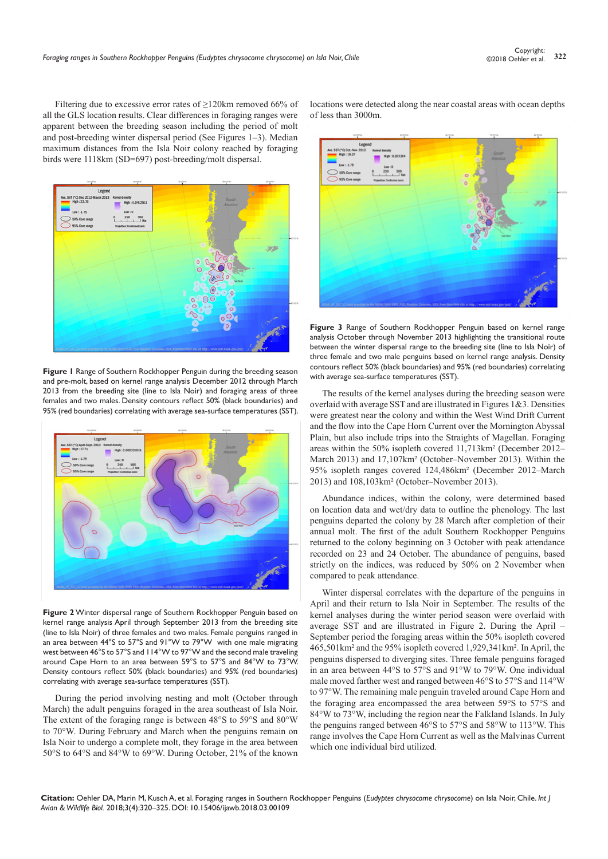Filtering due to excessive error rates of ≥120km removed 66% of all the GLS location results. Clear differences in foraging ranges were apparent between the breeding season including the period of molt and post-breeding winter dispersal period (See Figures 1–3). Median maximum distances from the Isla Noir colony reached by foraging birds were 1118km (SD=697) post-breeding/molt dispersal.



**Figure 1** Range of Southern Rockhopper Penguin during the breeding season and pre-molt, based on kernel range analysis December 2012 through March 2013 from the breeding site (line to Isla Noir) and foraging areas of three females and two males. Density contours reflect 50% (black boundaries) and 95% (red boundaries) correlating with average sea-surface temperatures (SST).



**Figure 2** Winter dispersal range of Southern Rockhopper Penguin based on kernel range analysis April through September 2013 from the breeding site (line to Isla Noir) of three females and two males. Female penguins ranged in an area between 44°S to 57°S and 91°W to 79°W with one male migrating west between 46°S to 57°S and 114°W to 97°W and the second male traveling around Cape Horn to an area between 59°S to 57°S and 84°W to 73°W. Density contours reflect 50% (black boundaries) and 95% (red boundaries) correlating with average sea-surface temperatures (SST).

During the period involving nesting and molt (October through March) the adult penguins foraged in the area southeast of Isla Noir. The extent of the foraging range is between 48°S to 59°S and 80°W to 70°W. During February and March when the penguins remain on Isla Noir to undergo a complete molt, they forage in the area between 50°S to 64°S and 84°W to 69°W. During October, 21% of the known

locations were detected along the near coastal areas with ocean depths of less than 3000m.



**Figure 3** Range of Southern Rockhopper Penguin based on kernel range analysis October through November 2013 highlighting the transitional route between the winter dispersal range to the breeding site (line to Isla Noir) of three female and two male penguins based on kernel range analysis. Density contours reflect 50% (black boundaries) and 95% (red boundaries) correlating with average sea-surface temperatures (SST).

The results of the kernel analyses during the breeding season were overlaid with average SST and are illustrated in Figures 1&3. Densities were greatest near the colony and within the West Wind Drift Current and the flow into the Cape Horn Current over the Mornington Abyssal Plain, but also include trips into the Straights of Magellan. Foraging areas within the 50% isopleth covered 11,713km² (December 2012– March 2013) and 17,107km² (October–November 2013). Within the 95% isopleth ranges covered 124,486km² (December 2012–March 2013) and 108,103km² (October–November 2013).

Abundance indices, within the colony, were determined based on location data and wet/dry data to outline the phenology. The last penguins departed the colony by 28 March after completion of their annual molt. The first of the adult Southern Rockhopper Penguins returned to the colony beginning on 3 October with peak attendance recorded on 23 and 24 October. The abundance of penguins, based strictly on the indices, was reduced by 50% on 2 November when compared to peak attendance.

Winter dispersal correlates with the departure of the penguins in April and their return to Isla Noir in September. The results of the kernel analyses during the winter period season were overlaid with average SST and are illustrated in Figure 2. During the April – September period the foraging areas within the 50% isopleth covered 465,501km² and the 95% isopleth covered 1,929,341km². In April, the penguins dispersed to diverging sites. Three female penguins foraged in an area between 44°S to 57°S and 91°W to 79°W. One individual male moved farther west and ranged between 46°S to 57°S and 114°W to 97°W. The remaining male penguin traveled around Cape Horn and the foraging area encompassed the area between 59°S to 57°S and 84°W to 73°W, including the region near the Falkland Islands. In July the penguins ranged between 46°S to 57°S and 58°W to 113°W. This range involves the Cape Horn Current as well as the Malvinas Current which one individual bird utilized.

**Citation:** Oehler DA, Marin M, Kusch A, et al. Foraging ranges in Southern Rockhopper Penguins (*Eudyptes chrysocome chrysocome*) on Isla Noir, Chile. *Int J Avian & Wildlife Biol.* 2018;3(4):320‒325. DOI: [10.15406/ijawb.2018.03.00109](https://doi.org/10.15406/ijawb.2018.03.00109)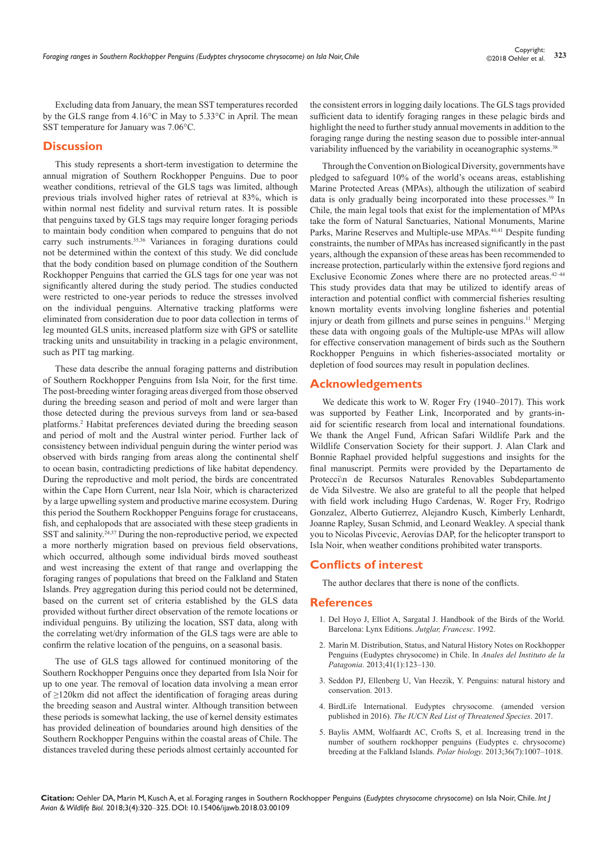Excluding data from January, the mean SST temperatures recorded by the GLS range from 4.16°C in May to 5.33°C in April. The mean SST temperature for January was 7.06°C.

## **Discussion**

This study represents a short-term investigation to determine the annual migration of Southern Rockhopper Penguins. Due to poor weather conditions, retrieval of the GLS tags was limited, although previous trials involved higher rates of retrieval at 83%, which is within normal nest fidelity and survival return rates. It is possible that penguins taxed by GLS tags may require longer foraging periods to maintain body condition when compared to penguins that do not carry such instruments.<sup>35,36</sup> Variances in foraging durations could not be determined within the context of this study. We did conclude that the body condition based on plumage condition of the Southern Rockhopper Penguins that carried the GLS tags for one year was not significantly altered during the study period. The studies conducted were restricted to one-year periods to reduce the stresses involved on the individual penguins. Alternative tracking platforms were eliminated from consideration due to poor data collection in terms of leg mounted GLS units, increased platform size with GPS or satellite tracking units and unsuitability in tracking in a pelagic environment, such as PIT tag marking.

These data describe the annual foraging patterns and distribution of Southern Rockhopper Penguins from Isla Noir, for the first time. The post-breeding winter foraging areas diverged from those observed during the breeding season and period of molt and were larger than those detected during the previous surveys from land or sea-based platforms.<sup>2</sup> Habitat preferences deviated during the breeding season and period of molt and the Austral winter period. Further lack of consistency between individual penguin during the winter period was observed with birds ranging from areas along the continental shelf to ocean basin, contradicting predictions of like habitat dependency. During the reproductive and molt period, the birds are concentrated within the Cape Horn Current, near Isla Noir, which is characterized by a large upwelling system and productive marine ecosystem. During this period the Southern Rockhopper Penguins forage for crustaceans, fish, and cephalopods that are associated with these steep gradients in SST and salinity.24,37 During the non-reproductive period, we expected a more northerly migration based on previous field observations, which occurred, although some individual birds moved southeast and west increasing the extent of that range and overlapping the foraging ranges of populations that breed on the Falkland and Staten Islands. Prey aggregation during this period could not be determined, based on the current set of criteria established by the GLS data provided without further direct observation of the remote locations or individual penguins. By utilizing the location, SST data, along with the correlating wet/dry information of the GLS tags were are able to confirm the relative location of the penguins, on a seasonal basis.

The use of GLS tags allowed for continued monitoring of the Southern Rockhopper Penguins once they departed from Isla Noir for up to one year. The removal of location data involving a mean error of ≥120km did not affect the identification of foraging areas during the breeding season and Austral winter. Although transition between these periods is somewhat lacking, the use of kernel density estimates has provided delineation of boundaries around high densities of the Southern Rockhopper Penguins within the coastal areas of Chile. The distances traveled during these periods almost certainly accounted for

the consistent errors in logging daily locations. The GLS tags provided sufficient data to identify foraging ranges in these pelagic birds and highlight the need to further study annual movements in addition to the foraging range during the nesting season due to possible inter-annual variability influenced by the variability in oceanographic systems.<sup>38</sup>

Through the Convention on Biological Diversity, governments have pledged to safeguard 10% of the world's oceans areas, establishing Marine Protected Areas (MPAs), although the utilization of seabird data is only gradually being incorporated into these processes.<sup>39</sup> In Chile, the main legal tools that exist for the implementation of MPAs take the form of Natural Sanctuaries, National Monuments, Marine Parks, Marine Reserves and Multiple-use MPAs.40,41 Despite funding constraints, the number of MPAs has increased significantly in the past years, although the expansion of these areas has been recommended to increase protection, particularly within the extensive fjord regions and Exclusive Economic Zones where there are no protected areas.<sup>42-44</sup> This study provides data that may be utilized to identify areas of interaction and potential conflict with commercial fisheries resulting known mortality events involving longline fisheries and potential injury or death from gillnets and purse seines in penguins.<sup>11</sup> Merging these data with ongoing goals of the Multiple-use MPAs will allow for effective conservation management of birds such as the Southern Rockhopper Penguins in which fisheries-associated mortality or depletion of food sources may result in population declines.

## **Acknowledgements**

We dedicate this work to W. Roger Fry (1940–2017). This work was supported by Feather Link, Incorporated and by grants-inaid for scientific research from local and international foundations. We thank the Angel Fund, African Safari Wildlife Park and the Wildlife Conservation Society for their support. J. Alan Clark and Bonnie Raphael provided helpful suggestions and insights for the final manuscript. Permits were provided by the Departamento de Protecci\n de Recursos Naturales Renovables Subdepartamento de Vida Silvestre. We also are grateful to all the people that helped with field work including Hugo Cardenas, W. Roger Fry, Rodrigo Gonzalez, Alberto Gutierrez, Alejandro Kusch, Kimberly Lenhardt, Joanne Rapley, Susan Schmid, and Leonard Weakley. A special thank you to Nicolas Pivcevic, Aerovías DAP, for the helicopter transport to Isla Noir, when weather conditions prohibited water transports.

## **Conflicts of interest**

The author declares that there is none of the conflicts.

## **References**

- 1. Del Hoyo J, Elliot A, Sargatal J. Handbook of the Birds of the World. Barcelona: Lynx Editions. *Jutglar, Francesc*. 1992.
- 2. Mar[ín M. Distribution, Status, and Natural History Notes on Rockhopper](http://www.academia.edu/14717033/DISTRIBUTION_STATUS_AND_NATURAL_HISTORY_NOTES_ON_ROCKHOPPER_PENGUINS_EUDYPTES_CHRYSOCOME_IN_CHILE)  [Penguins \(Eudyptes chrysocome\) in Chile. In](http://www.academia.edu/14717033/DISTRIBUTION_STATUS_AND_NATURAL_HISTORY_NOTES_ON_ROCKHOPPER_PENGUINS_EUDYPTES_CHRYSOCOME_IN_CHILE) *Anales del Instituto de la Patagonia*[. 2013;41\(1\):123–130.](http://www.academia.edu/14717033/DISTRIBUTION_STATUS_AND_NATURAL_HISTORY_NOTES_ON_ROCKHOPPER_PENGUINS_EUDYPTES_CHRYSOCOME_IN_CHILE)
- 3. Seddon PJ, Ellenberg U, Van Heezik, Y. Penguins: natural history and conservation. 2013.
- 4. [BirdLife International. Eudyptes chrysocome. \(amended version](http://www.iucnredlist.org/details/22735250/0)  published in 2016). *[The IUCN Red List of Threatened Species](http://www.iucnredlist.org/details/22735250/0)*. 2017.
- 5. [Baylis AMM, Wolfaardt AC, Crofts S, et al. Increasing trend in the](https://link.springer.com/article/10.1007/s00300-013-1324-6)  [number of southern rockhopper penguins \(Eudyptes c. chrysocome\)](https://link.springer.com/article/10.1007/s00300-013-1324-6)  [breeding at the Falkland Islands.](https://link.springer.com/article/10.1007/s00300-013-1324-6) *Polar biology.* 2013;36(7):1007–1018.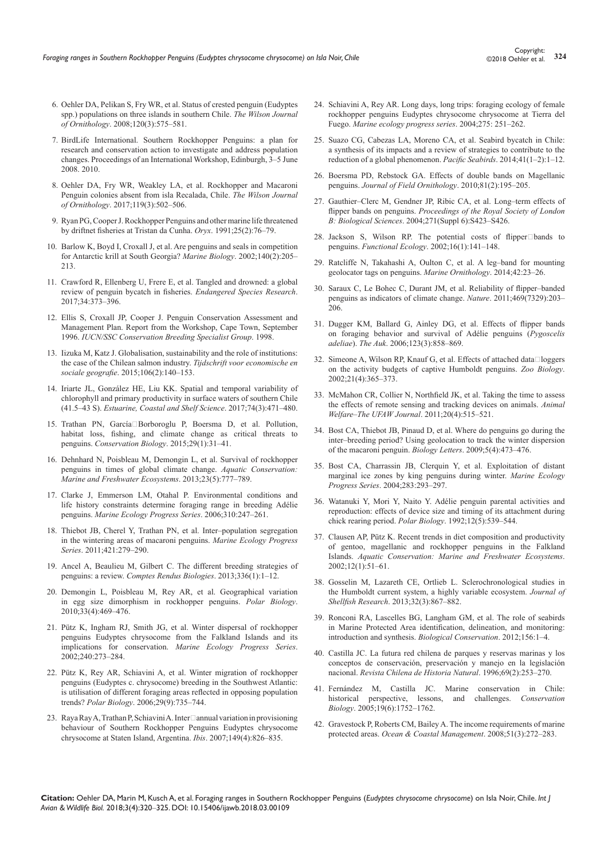- 6. Oehler DA, Pelikan S, Fry WR, et al. Status of crested penguin (Eudyptes spp.) populations on three islands in southern Chile. *The Wilson Journal of Ornithology*. 2008;120(3):575–581.
- 7. BirdLife International. Southern Rockhopper Penguins: a plan for research and conservation action to investigate and address population changes. Proceedings of an International Workshop, Edinburgh, 3–5 June 2008. 2010.
- 8. [Oehler DA, Fry WR, Weakley LA, et al. Rockhopper and Macaroni](http://www.bioone.org/doi/abs/10.1676/06-096.1)  [Penguin colonies absent from isla Recalada, Chile.](http://www.bioone.org/doi/abs/10.1676/06-096.1) *The Wilson Journal of Ornithology*[. 2017;119\(3\):502–506.](http://www.bioone.org/doi/abs/10.1676/06-096.1)
- 9. Ryan PG, Cooper J. Rockhopper Penguins and other marine life threatened by driftnet fisheries at Tristan da Cunha. *Oryx*. 1991;25(2):76–79.
- 10. [Barlow K, Boyd I, Croxall J, et al. Are penguins and seals in competition](https://link.springer.com/article/10.1007/s00227-001-0691-7)  [for Antarctic krill at South Georgia?](https://link.springer.com/article/10.1007/s00227-001-0691-7) *Marine Biology*. 2002;140(2):205– [213.](https://link.springer.com/article/10.1007/s00227-001-0691-7)
- 11. [Crawford R, Ellenberg U, Frere E, et al. Tangled and drowned: a global](https://www.int-res.com/abstracts/esr/v34/p373-396/)  [review of penguin bycatch in fisheries.](https://www.int-res.com/abstracts/esr/v34/p373-396/) *Endangered Species Research*. [2017;34:373–396.](https://www.int-res.com/abstracts/esr/v34/p373-396/)
- 12. [Ellis S, Croxall JP, Cooper J. Penguin Conservation Assessment and](http://www.unep-aewa.org/sites/default/files/document/south_africa2008_appendix1_2_0.pdf)  [Management Plan. Report from the Workshop, Cape Town, September](http://www.unep-aewa.org/sites/default/files/document/south_africa2008_appendix1_2_0.pdf)  1996. *[IUCN/SSC Conservation Breeding Specialist Group](http://www.unep-aewa.org/sites/default/files/document/south_africa2008_appendix1_2_0.pdf)*. 1998.
- 13. [Iizuka M, Katz J. Globalisation, sustainability and the role of institutions:](https://onlinelibrary.wiley.com/doi/abs/10.1111/tesg.12132)  [the case of the Chilean salmon industry.](https://onlinelibrary.wiley.com/doi/abs/10.1111/tesg.12132) *Tijdschrift voor economische en sociale geografie*[. 2015;106\(2\):140–153.](https://onlinelibrary.wiley.com/doi/abs/10.1111/tesg.12132)
- 14. Iriarte JL, González HE, Liu KK. Spatial and temporal variability of chlorophyll and primary productivity in surface waters of southern Chile (41.5–43 S). *Estuarine, Coastal and Shelf Science*. 2017;74(3):471–480.
- 15. Trathan PN, García[‐Borboroglu P, Boersma D, et al. Pollution,](https://onlinelibrary.wiley.com/doi/abs/10.1111/cobi.12349)  [habitat loss, fishing, and climate change as critical threats to](https://onlinelibrary.wiley.com/doi/abs/10.1111/cobi.12349)  penguins. *[Conservation Biology](https://onlinelibrary.wiley.com/doi/abs/10.1111/cobi.12349)*. 2015;29(1):31–41.
- 16. [Dehnhard N, Poisbleau M, Demongin L, et al. Survival of rockhopper](https://onlinelibrary.wiley.com/doi/abs/10.1002/aqc.2331)  [penguins in times of global climate change.](https://onlinelibrary.wiley.com/doi/abs/10.1002/aqc.2331) *Aquatic Conservation: [Marine and Freshwater Ecosystems](https://onlinelibrary.wiley.com/doi/abs/10.1002/aqc.2331)*. 2013;23(5):777–789.
- 17. [Clarke J, Emmerson LM, Otahal P. Environmental conditions and](https://www.int-res.com/articles/meps2006/310/m310p247.pdf)  [life history constraints determine foraging range in breeding Adélie](https://www.int-res.com/articles/meps2006/310/m310p247.pdf)  penguins. *[Marine Ecology Progress Series](https://www.int-res.com/articles/meps2006/310/m310p247.pdf)*. 2006;310:247–261.
- 18. [Thiebot JB, Cherel Y, Trathan PN, et al. Inter–population segregation](https://hal.archives-ouvertes.fr/hal-00558229/)  [in the wintering areas of macaroni penguins.](https://hal.archives-ouvertes.fr/hal-00558229/) *Marine Ecology Progress Series*[. 2011;421:279–290.](https://hal.archives-ouvertes.fr/hal-00558229/)
- 19. [Ancel A, Beaulieu M, Gilbert C. The different breeding strategies of](https://hal.archives-ouvertes.fr/hal-00789518/document)  penguins: a review. *[Comptes Rendus Biologies](https://hal.archives-ouvertes.fr/hal-00789518/document)*. 2013;336(1):1–12.
- 20. [Demongin L, Poisbleau M, Rey AR, et al. Geographical variation](https://link.springer.com/article/10.1007/s00300-009-0722-2)  [in egg size dimorphism in rockhopper penguins.](https://link.springer.com/article/10.1007/s00300-009-0722-2) *Polar Biology*. [2010;33\(4\):469–476.](https://link.springer.com/article/10.1007/s00300-009-0722-2)
- 21. [Pütz K, Ingham RJ, Smith JG, et al. Winter dispersal of rockhopper](https://www.int-res.com/abstracts/meps/v240/p273-284/)  [penguins Eudyptes chrysocome from the Falkland Islands and its](https://www.int-res.com/abstracts/meps/v240/p273-284/)  implications for conservation. *[Marine Ecology Progress Series](https://www.int-res.com/abstracts/meps/v240/p273-284/)*. [2002;240:273–284.](https://www.int-res.com/abstracts/meps/v240/p273-284/)
- 22. [Pütz K, Rey AR, Schiavini A, et al. Winter migration of rockhopper](https://link.springer.com/article/10.1007/s00300-006-0110-0)  [penguins \(Eudyptes c. chrysocome\) breeding in the Southwest Atlantic:](https://link.springer.com/article/10.1007/s00300-006-0110-0)  [is utilisation of different foraging areas reflected in opposing population](https://link.springer.com/article/10.1007/s00300-006-0110-0)  trends? *Polar Biology*[. 2006;29\(9\):735‒744.](https://link.springer.com/article/10.1007/s00300-006-0110-0)
- 23. Raya Ray A, Trathan P, Schiavini A. Inter $\Box$ annual variation in provisioning [behaviour of Southern Rockhopper Penguins Eudyptes chrysocome](https://onlinelibrary.wiley.com/doi/abs/10.1111/j.1474-919X.2007.00718.x)  [chrysocome at Staten Island, Argentina.](https://onlinelibrary.wiley.com/doi/abs/10.1111/j.1474-919X.2007.00718.x) *Ibis*. 2007;149(4):826‒835.
- 24. [Schiavini A, Rey AR. Long days, long trips: foraging ecology of female](https://www.int-res.com/articles/meps2004/275/m275p251.pdf)  [rockhopper penguins Eudyptes chrysocome chrysocome at Tierra del](https://www.int-res.com/articles/meps2004/275/m275p251.pdf)  Fuego. [Marine ecology progress series](https://www.int-res.com/articles/meps2004/275/m275p251.pdf). 2004;275: 251-262.
- 25. [Suazo CG, Cabezas LA, Moreno CA, et al. Seabird bycatch in Chile:](https://ww2.rspb.org.uk/community/getinvolved/b/albatross/archive/2015/03/01/seabird-bycatch-in-chile-impacts-and-reduction-strategies.aspx)  [a synthesis of its impacts and a review of strategies to contribute to the](https://ww2.rspb.org.uk/community/getinvolved/b/albatross/archive/2015/03/01/seabird-bycatch-in-chile-impacts-and-reduction-strategies.aspx)  [reduction of a global phenomenon.](https://ww2.rspb.org.uk/community/getinvolved/b/albatross/archive/2015/03/01/seabird-bycatch-in-chile-impacts-and-reduction-strategies.aspx) *Pacific Seabirds*. 2014;41(1-2):1-12.
- 26. [Boersma PD, Rebstock GA. Effects of double bands on Magellanic](https://onlinelibrary.wiley.com/doi/full/10.1111/j.1557-9263.2010.00277.x)  penguins. *[Journal of Field Ornithology](https://onlinelibrary.wiley.com/doi/full/10.1111/j.1557-9263.2010.00277.x)*. 2010;81(2):195–205.
- 27. [Gauthier–Clerc M, Gendner JP, Ribic CA, et al. Long–term effects of](https://www.ncbi.nlm.nih.gov/pubmed/15801593)  flipper bands on penguins. *[Proceedings of the Royal Society of London](https://www.ncbi.nlm.nih.gov/pubmed/15801593)  B: Biological Sciences*[. 2004;271\(Suppl 6\):S423‒S426.](https://www.ncbi.nlm.nih.gov/pubmed/15801593)
- 28. Jackson S, Wilson RP. The potential costs of flipper $\square$ bands to penguins. *Functional Ecology*. 2002;16(1):141-148.
- 29. Ratcliffe N, Takahashi A, Oulton C, et al. A leg-band for mounting [geolocator tags on penguins.](http://marineornithology.org/PDF/42_1/42_1_23_26.pdf) *Marine Ornithology*. 2014;42:23-26.
- 30. [Saraux C, Le Bohec C, Durant JM, et al](https://www.nature.com/articles/nature09630). Reliability of flipper-banded [penguins as indicators of climate change.](https://www.nature.com/articles/nature09630) *Nature*. 2011;469(7329):203– [206.](https://www.nature.com/articles/nature09630)
- 31. [Dugger KM, Ballard G, Ainley DG, et al. Effects of flipper bands](http://www.bioone.org/doi/abs/10.1642/0004-8038%282006%29123%5B858%3AEOFBOF%5D2.0.CO%3B2)  [on foraging behavior and survival of Adélie penguins \(](http://www.bioone.org/doi/abs/10.1642/0004-8038%282006%29123%5B858%3AEOFBOF%5D2.0.CO%3B2)*Pygoscelis adeliae*). *The Auk*[. 2006;123\(3\):858‒869.](http://www.bioone.org/doi/abs/10.1642/0004-8038%282006%29123%5B858%3AEOFBOF%5D2.0.CO%3B2)
- 32. Simeone A, Wilson RP, Knauf G, et al. Effects of attached data $\Box$ loggers [on the activity budgets of captive Humboldt penguins.](https://onlinelibrary.wiley.com/doi/abs/10.1002/zoo.10044) *Zoo Biology*. [2002;21\(4\):365‒373.](https://onlinelibrary.wiley.com/doi/abs/10.1002/zoo.10044)
- 33. [McMahon CR, Collier N, Northfield JK, et al. Taking the time to assess](https://www.ingentaconnect.com/content/ufaw/aw/2011/00000020/00000004/art00006)  [the effects of remote sensing and tracking devices on animals.](https://www.ingentaconnect.com/content/ufaw/aw/2011/00000020/00000004/art00006) *Animal [Welfare‒The UFAW Journal](https://www.ingentaconnect.com/content/ufaw/aw/2011/00000020/00000004/art00006)*. 2011;20(4):515‒521.
- 34. [Bost CA, Thiebot JB, Pinaud D, et al. Where do penguins go during the](http://rsbl.royalsocietypublishing.org/content/early/2009/05/14/rsbl.2009.0265)  inter-breeding period? Using geolocation to track the winter dispersion [of the macaroni penguin.](http://rsbl.royalsocietypublishing.org/content/early/2009/05/14/rsbl.2009.0265) *Biology Letters*. 2009;5(4):473-476.
- 35. [Bost CA, Charrassin JB, Clerquin Y, et al. Exploitation of distant](https://www.int-res.com/abstracts/meps/v283/p293-297/)  [marginal ice zones by king penguins during winter.](https://www.int-res.com/abstracts/meps/v283/p293-297/) *Marine Ecology Progress Series*[. 2004;283:293‒297.](https://www.int-res.com/abstracts/meps/v283/p293-297/)
- 36. [Watanuki Y, Mori Y, Naito Y. Adélie penguin parental activities and](https://link.springer.com/article/10.1007/BF00238194/)  [reproduction: effects of device size and timing of its attachment during](https://link.springer.com/article/10.1007/BF00238194/)  chick rearing period. *Polar Biology*. 1992;12(5):539–544.
- 37. [Clausen AP, Pütz K. Recent trends in diet composition and productivity](https://onlinelibrary.wiley.com/doi/full/10.1002/aqc.476)  [of gentoo, magellanic and rockhopper penguins in the Falkland](https://onlinelibrary.wiley.com/doi/full/10.1002/aqc.476)  Islands. *[Aquatic Conservation: Marine and Freshwater Ecosystems](https://onlinelibrary.wiley.com/doi/full/10.1002/aqc.476)*. [2002;12\(1\):51‒61.](https://onlinelibrary.wiley.com/doi/full/10.1002/aqc.476)
- 38. [Gosselin M, Lazareth CE, Ortlieb L. Sclerochronological studies in](http://www.bioone.org/doi/abs/10.2983/035.032.0331)  [the Humboldt current system, a highly variable ecosystem.](http://www.bioone.org/doi/abs/10.2983/035.032.0331) *Journal of Shellfish Research*[. 2013;32\(3\):867‒882.](http://www.bioone.org/doi/abs/10.2983/035.032.0331)
- 39. [Ronconi RA, Lascelles BG, Langham GM, et al.](https://www.sciencedirect.com/science/article/pii/S000632071200122X) The role of seabirds [in Marine Protected Area identification, delineation, and monitoring:](https://www.sciencedirect.com/science/article/pii/S000632071200122X)  [introduction and synthesis.](https://www.sciencedirect.com/science/article/pii/S000632071200122X) *Biological Conservation*. 2012;156:1-4.
- 40. [Castilla JC. La futura red chilena de parques y reservas marinas y los](http://rchn.biologiachile.cl/pdfs/1996/2/Castilla_1996.pdf)  [conceptos de conservación, preservación y manejo en la legislación](http://rchn.biologiachile.cl/pdfs/1996/2/Castilla_1996.pdf)  nacional. *[Revista Chilena de Historia Natural](http://rchn.biologiachile.cl/pdfs/1996/2/Castilla_1996.pdf)*. 1996;69(2):253‒270.
- 41. [Fernández M, Castilla JC. Marine conservation in Chile:](https://onlinelibrary.wiley.com/doi/full/10.1111/j.1523-1739.2005.00277.x)  [historical perspective, lessons, and challenges.](https://onlinelibrary.wiley.com/doi/full/10.1111/j.1523-1739.2005.00277.x) *Conservation Biology*. [2005;19\(6\):1752‒1762.](https://onlinelibrary.wiley.com/doi/full/10.1111/j.1523-1739.2005.00277.x)
- 42. [Gravestock P, Roberts CM, Bailey A. The income requirements of marine](https://www.sciencedirect.com/science/article/pii/S096456910700097X)  protected areas. *[Ocean & Coastal Management](https://www.sciencedirect.com/science/article/pii/S096456910700097X)*. 2008;51(3):272-283.